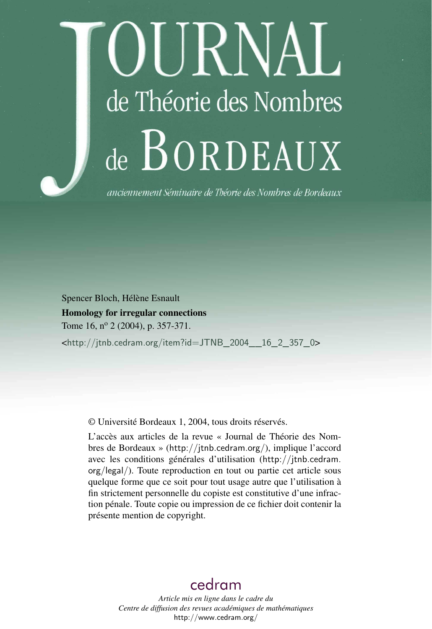# OURNAL de Théorie des Nombres de BORDEAUX

anciennement Séminaire de Théorie des Nombres de Bordeaux

Spencer Bloch, Hélène Esnault Homology for irregular connections Tome 16, nº 2 (2004), p. 357-371. <[http://jtnb.cedram.org/item?id=JTNB\\_2004\\_\\_16\\_2\\_357\\_0](http://jtnb.cedram.org/item?id=JTNB_2004__16_2_357_0)>

© Université Bordeaux 1, 2004, tous droits réservés.

L'accès aux articles de la revue « Journal de Théorie des Nombres de Bordeaux » (<http://jtnb.cedram.org/>), implique l'accord avec les conditions générales d'utilisation ([http://jtnb.cedram.](http://jtnb.cedram.org/legal/) [org/legal/](http://jtnb.cedram.org/legal/)). Toute reproduction en tout ou partie cet article sous quelque forme que ce soit pour tout usage autre que l'utilisation à fin strictement personnelle du copiste est constitutive d'une infraction pénale. Toute copie ou impression de ce fichier doit contenir la présente mention de copyright.

## [cedram](http://www.cedram.org/)

*Article mis en ligne dans le cadre du Centre de diffusion des revues académiques de mathématiques* <http://www.cedram.org/>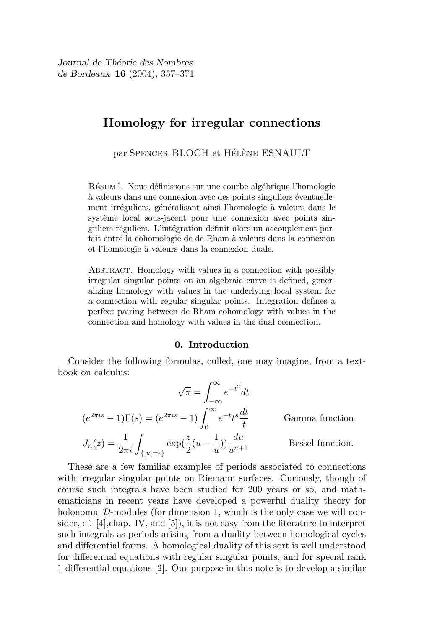Journal de Théorie des Nombres de Bordeaux 16 (2004), 357–371

### Homology for irregular connections

par SPENCER BLOCH et HÉLÈNE ESNAULT

RÉSUMÉ. Nous définissons sur une courbe algébrique l'homologie à valeurs dans une connexion avec des points singuliers éventuellement irréguliers, généralisant ainsi l'homologie à valeurs dans le système local sous-jacent pour une connexion avec points singuliers réguliers. L'intégration définit alors un accouplement parfait entre la cohomologie de de Rham à valeurs dans la connexion et l'homologie à valeurs dans la connexion duale.

ABSTRACT. Homology with values in a connection with possibly irregular singular points on an algebraic curve is defined, generalizing homology with values in the underlying local system for a connection with regular singular points. Integration defines a perfect pairing between de Rham cohomology with values in the connection and homology with values in the dual connection.

#### 0. Introduction

Consider the following formulas, culled, one may imagine, from a textbook on calculus:

$$
\sqrt{\pi} = \int_{-\infty}^{\infty} e^{-t^2} dt
$$

$$
(e^{2\pi i s} - 1)\Gamma(s) = (e^{2\pi i s} - 1) \int_{0}^{\infty} e^{-t} t^s \frac{dt}{t}
$$
Gamma function
$$
J_n(z) = \frac{1}{2\pi i} \int_{\{|u| = \epsilon\}} \exp(\frac{z}{2}(u - \frac{1}{u})) \frac{du}{u^{n+1}}
$$
Bessel function.

These are a few familiar examples of periods associated to connections with irregular singular points on Riemann surfaces. Curiously, though of course such integrals have been studied for 200 years or so, and mathematicians in recent years have developed a powerful duality theory for holonomic D-modules (for dimension 1, which is the only case we will consider, cf.  $[4]$ , chap. IV, and  $[5]$ , it is not easy from the literature to interpret such integrals as periods arising from a duality between homological cycles and differential forms. A homological duality of this sort is well understood for differential equations with regular singular points, and for special rank 1 differential equations [2]. Our purpose in this note is to develop a similar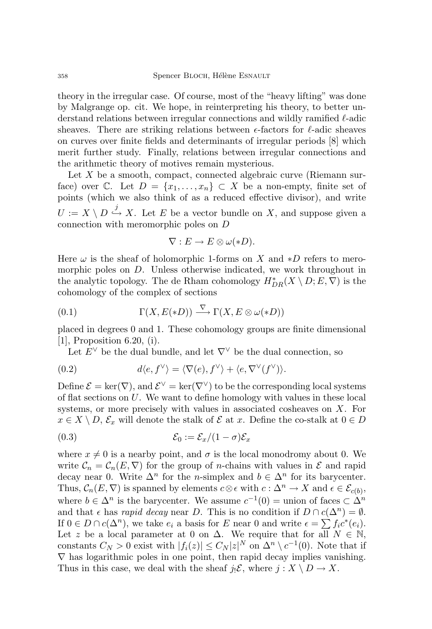theory in the irregular case. Of course, most of the "heavy lifting" was done by Malgrange op. cit. We hope, in reinterpreting his theory, to better understand relations between irregular connections and wildly ramified  $\ell$ -adic sheaves. There are striking relations between  $\epsilon$ -factors for  $\ell$ -adic sheaves on curves over finite fields and determinants of irregular periods [8] which merit further study. Finally, relations between irregular connections and the arithmetic theory of motives remain mysterious.

Let  $X$  be a smooth, compact, connected algebraic curve (Riemann surface) over C. Let  $D = \{x_1, \ldots, x_n\} \subset X$  be a non-empty, finite set of points (which we also think of as a reduced effective divisor), and write  $U := X \setminus D \stackrel{j}{\hookrightarrow} X$ . Let E be a vector bundle on X, and suppose given a connection with meromorphic poles on D

$$
\nabla: E \to E \otimes \omega(*D).
$$

Here  $\omega$  is the sheaf of holomorphic 1-forms on X and  $*D$  refers to meromorphic poles on D. Unless otherwise indicated, we work throughout in the analytic topology. The de Rham cohomology  $H^*_{DR}(X \setminus D; E, \nabla)$  is the cohomology of the complex of sections

(0.1) 
$$
\Gamma(X, E(*D)) \xrightarrow{\nabla} \Gamma(X, E \otimes \omega(*D))
$$

placed in degrees 0 and 1. These cohomology groups are finite dimensional [1], Proposition 6.20, (i).

Let  $E^{\vee}$  be the dual bundle, and let  $\nabla^{\vee}$  be the dual connection, so

(0.2) 
$$
d\langle e, f^{\vee} \rangle = \langle \nabla(e), f^{\vee} \rangle + \langle e, \nabla^{\vee}(f^{\vee}) \rangle.
$$

Define  $\mathcal{E} = \ker(\nabla)$ , and  $\mathcal{E}^{\vee} = \ker(\nabla^{\vee})$  to be the corresponding local systems of flat sections on  $U$ . We want to define homology with values in these local systems, or more precisely with values in associated cosheaves on X. For  $x \in X \setminus D$ ,  $\mathcal{E}_x$  will denote the stalk of  $\mathcal E$  at x. Define the co-stalk at  $0 \in D$ 

$$
(0.3) \t\t\t\mathcal{E}_0 := \mathcal{E}_x/(1-\sigma)\mathcal{E}_x
$$

where  $x \neq 0$  is a nearby point, and  $\sigma$  is the local monodromy about 0. We write  $\mathcal{C}_n = \mathcal{C}_n(E, \nabla)$  for the group of *n*-chains with values in  $\mathcal E$  and rapid decay near 0. Write  $\Delta^n$  for the *n*-simplex and  $b \in \Delta^n$  for its barycenter. Thus,  $C_n(E, \nabla)$  is spanned by elements  $c \otimes \epsilon$  with  $c : \Delta^n \to X$  and  $\epsilon \in \mathcal{E}_{c(b)}$ , where  $b \in \Delta^n$  is the barycenter. We assume  $c^{-1}(0) =$  union of faces  $\subset \Delta^n$ and that  $\epsilon$  has *rapid decay* near D. This is no condition if  $D \cap c(\Delta^n) = \emptyset$ . If  $0 \in D \cap c(\Delta^n)$ , we take  $e_i$  a basis for E near 0 and write  $\epsilon = \sum f_i c^*(e_i)$ . Let z be a local parameter at 0 on  $\Delta$ . We require that for all  $N \in \mathbb{N}$ , constants  $C_N > 0$  exist with  $|f_i(z)| \leq C_N |z|^N$  on  $\Delta^n \setminus c^{-1}(0)$ . Note that if  $\nabla$  has logarithmic poles in one point, then rapid decay implies vanishing. Thus in this case, we deal with the sheaf  $j_!\mathcal{E}$ , where  $j : X \setminus D \to X$ .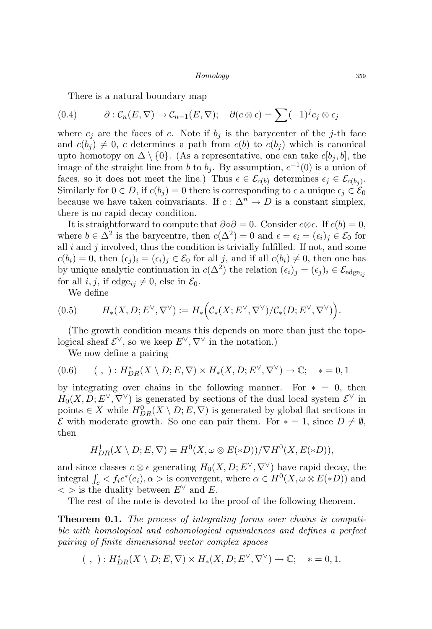There is a natural boundary map

$$
(0.4) \t\partial : \mathcal{C}_n(E, \nabla) \to \mathcal{C}_{n-1}(E, \nabla); \quad \partial(c \otimes \epsilon) = \sum (-1)^j c_j \otimes \epsilon_j
$$

where  $c_j$  are the faces of c. Note if  $b_j$  is the barycenter of the j-th face and  $c(b_i) \neq 0$ , c determines a path from  $c(b)$  to  $c(b_i)$  which is canonical upto homotopy on  $\Delta \setminus \{0\}$ . (As a representative, one can take  $c[b_i, b]$ , the image of the straight line from b to  $b_j$ . By assumption,  $c^{-1}(0)$  is a union of faces, so it does not meet the line.) Thus  $\epsilon \in \mathcal{E}_{c(b)}$  determines  $\epsilon_j \in \mathcal{E}_{c(b_j)}$ . Similarly for  $0 \in D$ , if  $c(b_i) = 0$  there is corresponding to  $\epsilon$  a unique  $\epsilon_i \in \mathcal{E}_0$ because we have taken coinvariants. If  $c : \Delta^n \to D$  is a constant simplex, there is no rapid decay condition.

It is straightforward to compute that  $\partial \circ \partial = 0$ . Consider  $c \otimes \epsilon$ . If  $c(b) = 0$ , where  $b \in \Delta^2$  is the barycentre, then  $c(\Delta^2) = 0$  and  $\epsilon = \epsilon_i = (\epsilon_i)_j \in \mathcal{E}_0$  for all  $i$  and  $j$  involved, thus the condition is trivially fulfilled. If not, and some  $c(b_i) = 0$ , then  $(\epsilon_i)_i = (\epsilon_i)_i \in \mathcal{E}_0$  for all j, and if all  $c(b_i) \neq 0$ , then one has by unique analytic continuation in  $c(\Delta^2)$  the relation  $(\epsilon_i)_j = (\epsilon_j)_i \in \mathcal{E}_{\text{edge}_{ij}}$ for all i, j, if edge<sub>ij</sub>  $\neq 0$ , else in  $\mathcal{E}_0$ .

We define

$$
(0.5) \t H_*(X,D; E^{\vee}, \nabla^{\vee}) := H_*\Big(\mathcal{C}_*(X; E^{\vee}, \nabla^{\vee}) / \mathcal{C}_*(D; E^{\vee}, \nabla^{\vee})\Big).
$$

(The growth condition means this depends on more than just the topological sheaf  $\mathcal{E}^{\vee}$ , so we keep  $E^{\vee}, \nabla^{\vee}$  in the notation.)

We now define a pairing

$$
(0.6) \qquad (\; , \; ) : H^*_{DR}(X \setminus D; E, \nabla) \times H_*(X, D; E^{\vee}, \nabla^{\vee}) \to \mathbb{C}; \quad * = 0, 1
$$

by integrating over chains in the following manner. For  $* = 0$ , then  $H_0(X, D; E^{\vee}, \nabla^{\vee})$  is generated by sections of the dual local system  $\mathcal{E}^{\vee}$  in points  $\in X$  while  $H_{DR}^0(X \setminus D; E, \nabla)$  is generated by global flat sections in  $\mathcal E$  with moderate growth. So one can pair them. For ∗ = 1, since  $D \neq \emptyset$ , then

$$
H^1_{DR}(X \setminus D; E, \nabla) = H^0(X, \omega \otimes E(*D)) / \nabla H^0(X, E(*D)),
$$

and since classes  $c \otimes \epsilon$  generating  $H_0(X, D; E^{\vee}, \nabla^{\vee})$  have rapid decay, the integral  $\int_c < f_i c^*(e_i), \alpha > \text{is convergent}, \text{ where } \alpha \in H^0(X, \omega \otimes E(*D))$  and  $\langle \rangle$  is the duality between  $E^{\vee}$  and E.

The rest of the note is devoted to the proof of the following theorem.

**Theorem 0.1.** The process of integrating forms over chains is compatible with homological and cohomological equivalences and defines a perfect pairing of finite dimensional vector complex spaces

$$
(\ , \ ) : H^*_{DR}(X\setminus D;E,\nabla)\times H_*(X,D;E^\vee,\nabla^\vee)\to \mathbb{C}; \quad * = 0,1.
$$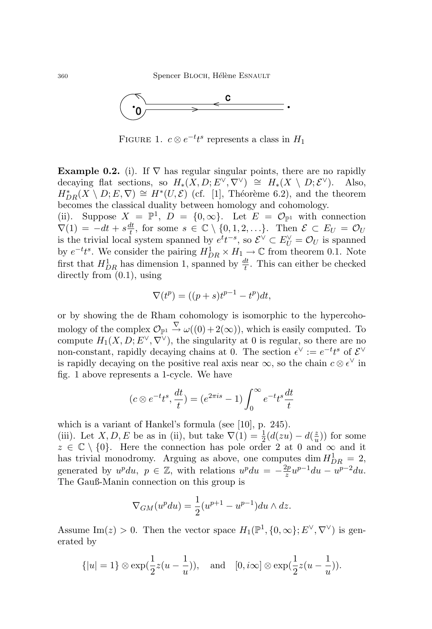

FIGURE 1.  $c \otimes e^{-t}t^s$  represents a class in  $H_1$ 

Example 0.2. (i). If  $\nabla$  has regular singular points, there are no rapidly decaying flat sections, so  $H_*(X,D; E^{\vee}, \nabla^{\vee}) \cong H_*(X \setminus D; \mathcal{E}^{\vee}).$  Also,  $H_{DR}^*(X \setminus D; E, \nabla) \cong H^*(U, \mathcal{E})$  (cf. [1], Théorème 6.2), and the theorem becomes the classical duality between homology and cohomology.

(ii). Suppose  $X = \mathbb{P}^1$ ,  $D = \{0, \infty\}$ . Let  $E = \mathcal{O}_{\mathbb{P}^1}$  with connection  $\nabla(1) = -dt + s\frac{dt}{t}$  $\frac{dt}{t}$ , for some  $s \in \mathbb{C} \setminus \{0, 1, 2, \ldots\}$ . Then  $\mathcal{E} \subset E_U = \mathcal{O}_U$ is the trivial local system spanned by  $e^t t^{-s}$ , so  $\mathcal{E}^{\vee} \subset E^{\vee}_U = \mathcal{O}_U$  is spanned by  $e^{-t}t^s$ . We consider the pairing  $H^1_{DR} \times H_1 \to \mathbb{C}$  from theorem 0.1. Note first that  $H_{DR}^1$  has dimension 1, spanned by  $\frac{dt}{t}$ . This can either be checked directly from (0.1), using

$$
\nabla(t^p) = ((p+s)t^{p-1} - t^p)dt,
$$

or by showing the de Rham cohomology is isomorphic to the hypercohomology of the complex  $\mathcal{O}_{\mathbb{P}^1} \stackrel{\nabla}{\to} \omega((0) + 2(\infty))$ , which is easily computed. To compute  $H_1(X, D, E^{\vee}, \nabla^{\vee})$ , the singularity at 0 is regular, so there are no non-constant, rapidly decaying chains at 0. The section  $\epsilon^{\vee} := e^{-t}t^s$  of  $\mathcal{E}^{\vee}$ is rapidly decaying on the positive real axis near  $\infty$ , so the chain  $c \otimes \epsilon^{\vee}$  in fig. 1 above represents a 1-cycle. We have

$$
(c \otimes e^{-t}t^s, \frac{dt}{t}) = (e^{2\pi i s} - 1) \int_0^\infty e^{-t}t^s \frac{dt}{t}
$$

which is a variant of Hankel's formula (see [10], p. 245).

(iii). Let  $X, D, E$  be as in (ii), but take  $\nabla(1) = \frac{1}{2}(d(zu) - d(\frac{z}{u}))$  $\frac{z}{u}$ )) for some  $z \in \mathbb{C} \setminus \{0\}$ . Here the connection has pole order 2 at 0 and  $\infty$  and it has trivial monodromy. Arguing as above, one computes dim  $H_{DR}^1 = 2$ , generated by  $u^p du$ ,  $p \in \mathbb{Z}$ , with relations  $u^p du = -\frac{2p}{\tau}$  $\frac{2p}{z}u^{p-1}du - u^{p-2}du.$ The Gauß-Manin connection on this group is

$$
\nabla_{GM}(u^p du) = \frac{1}{2}(u^{p+1} - u^{p-1}) du \wedge dz.
$$

Assume Im(z) > 0. Then the vector space  $H_1(\mathbb{P}^1, \{0, \infty\}; E^{\vee}, \nabla^{\vee})$  is generated by

$$
\{|u|=1\} \otimes \exp(\frac{1}{2}z(u-\frac{1}{u})),
$$
 and  $[0, i\infty] \otimes \exp(\frac{1}{2}z(u-\frac{1}{u})).$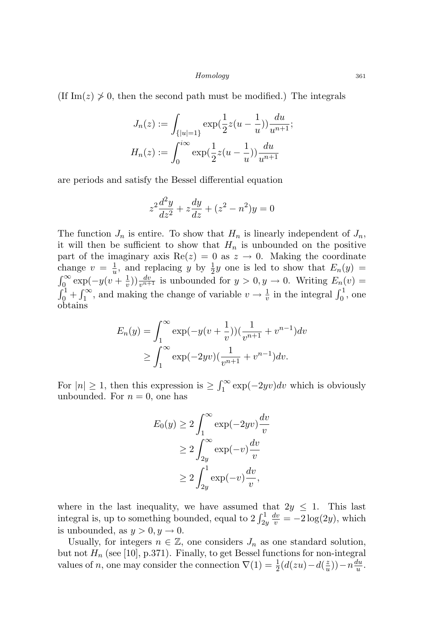(If Im( $z$ )  $\geq$  0, then the second path must be modified.) The integrals

$$
J_n(z) := \int_{\{|u|=1\}} \exp(\frac{1}{2}z(u - \frac{1}{u})) \frac{du}{u^{n+1}};
$$
  

$$
H_n(z) := \int_0^{i\infty} \exp(\frac{1}{2}z(u - \frac{1}{u})) \frac{du}{u^{n+1}}
$$

are periods and satisfy the Bessel differential equation

$$
z^{2}\frac{d^{2}y}{dz^{2}} + z\frac{dy}{dz} + (z^{2} - n^{2})y = 0
$$

The function  $J_n$  is entire. To show that  $H_n$  is linearly independent of  $J_n$ , it will then be sufficient to show that  $H_n$  is unbounded on the positive part of the imaginary axis Re(z) = 0 as  $z \rightarrow 0$ . Making the coordinate change  $v = \frac{1}{u}$  $\frac{1}{u}$ , and replacing y by  $\frac{1}{2}y$  one is led to show that  $E_n(y)$  $\int_0^\infty \exp(-y(v + \frac{1}{v}))$  $(v_x^{\frac{1}{v}})$  $(v_x^{\frac{dv_x}{v_{n+1}}}$  is unbounded for  $y > 0, y \to 0$ . Writing  $E_n(v) =$  $\int_0^1 + \int_1^{\infty}$ , and making the change of variable  $v \to \frac{1}{v}$  in the integral  $\int_0^1$ , one obtains

$$
E_n(y) = \int_1^{\infty} \exp(-y(v + \frac{1}{v})) \left(\frac{1}{v^{n+1}} + v^{n-1}\right) dv
$$
  
 
$$
\geq \int_1^{\infty} \exp(-2yv) \left(\frac{1}{v^{n+1}} + v^{n-1}\right) dv.
$$

For  $|n| \geq 1$ , then this expression is  $\geq \int_1^{\infty} \exp(-2yv)dv$  which is obviously unbounded. For  $n = 0$ , one has

$$
E_0(y) \ge 2 \int_1^{\infty} \exp(-2yv) \frac{dv}{v}
$$
  
\n
$$
\ge 2 \int_{2y}^{\infty} \exp(-v) \frac{dv}{v}
$$
  
\n
$$
\ge 2 \int_{2y}^1 \exp(-v) \frac{dv}{v},
$$

where in the last inequality, we have assumed that  $2y \leq 1$ . This last integral is, up to something bounded, equal to  $2 \int_{2y}^{1}$  $\frac{dv}{v} = -2\log(2y)$ , which is unbounded, as  $y > 0, y \rightarrow 0$ .

Usually, for integers  $n \in \mathbb{Z}$ , one considers  $J_n$  as one standard solution, but not  $H_n$  (see [10], p.371). Finally, to get Bessel functions for non-integral values of *n*, one may consider the connection  $\nabla(1) = \frac{1}{2}(d(zu) - d(\frac{z}{u}))$  $\frac{z}{u})$ ) –  $n \frac{du}{u}$  $\frac{du}{u}$  .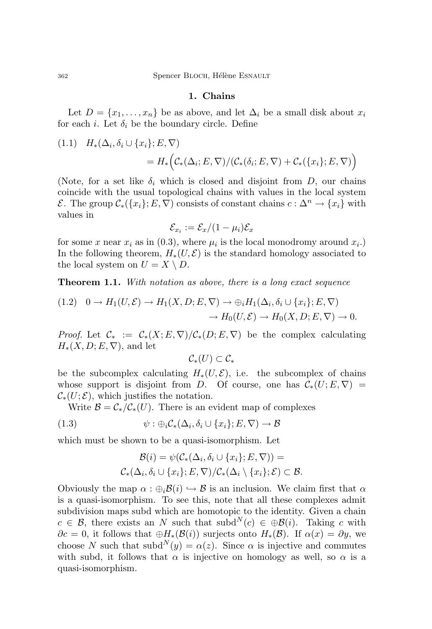#### 1. Chains

Let  $D = \{x_1, \ldots, x_n\}$  be as above, and let  $\Delta_i$  be a small disk about  $x_i$ for each *i*. Let  $\delta_i$  be the boundary circle. Define

(1.1) 
$$
H_*(\Delta_i, \delta_i \cup \{x_i\}; E, \nabla)
$$
  
=  $H_*\Big(\mathcal{C}_*(\Delta_i; E, \nabla) / (\mathcal{C}_*(\delta_i; E, \nabla) + \mathcal{C}_*(\{x_i\}; E, \nabla))\Big)$ 

(Note, for a set like  $\delta_i$  which is closed and disjoint from D, our chains coincide with the usual topological chains with values in the local system  $\mathcal{E}$ . The group  $\mathcal{C}_*(\{x_i\}; E, \nabla)$  consists of constant chains  $c: \Delta^n \to \{x_i\}$  with values in

$$
\mathcal{E}_{x_i} := \mathcal{E}_x/(1-\mu_i)\mathcal{E}_x
$$

for some x near  $x_i$  as in (0.3), where  $\mu_i$  is the local monodromy around  $x_i$ . In the following theorem,  $H_*(U, \mathcal{E})$  is the standard homology associated to the local system on  $U = X \setminus D$ .

**Theorem 1.1.** With notation as above, there is a long exact sequence

$$
(1.2) \quad 0 \to H_1(U, \mathcal{E}) \to H_1(X, D; E, \nabla) \to \bigoplus_i H_1(\Delta_i, \delta_i \cup \{x_i\}; E, \nabla) \to H_0(U, \mathcal{E}) \to H_0(X, D; E, \nabla) \to 0.
$$

*Proof.* Let  $C_* := C_*(X; E, \nabla)/C_*(D; E, \nabla)$  be the complex calculating  $H_*(X, D; E, \nabla)$ , and let

$$
\mathcal{C}_*(U) \subset \mathcal{C}_*
$$

be the subcomplex calculating  $H_*(U, \mathcal{E})$ , i.e. the subcomplex of chains whose support is disjoint from D. Of course, one has  $\mathcal{C}_*(U; E, \nabla)$  $\mathcal{C}_*(U; \mathcal{E})$ , which justifies the notation.

Write  $\mathcal{B} = C_*/\mathcal{C}_*(U)$ . There is an evident map of complexes

(1.3) 
$$
\psi : \oplus_i C_*(\Delta_i, \delta_i \cup \{x_i\}; E, \nabla) \to \mathcal{B}
$$

which must be shown to be a quasi-isomorphism. Let

$$
\mathcal{B}(i) = \psi(\mathcal{C}_*(\Delta_i, \delta_i \cup \{x_i\}; E, \nabla)) =
$$
  

$$
\mathcal{C}_*(\Delta_i, \delta_i \cup \{x_i\}; E, \nabla)/\mathcal{C}_*(\Delta_i \setminus \{x_i\}; \mathcal{E}) \subset \mathcal{B}.
$$

Obviously the map  $\alpha : \bigoplus_i \mathcal{B}(i) \hookrightarrow \mathcal{B}$  is an inclusion. We claim first that  $\alpha$ is a quasi-isomorphism. To see this, note that all these complexes admit subdivision maps subd which are homotopic to the identity. Given a chain  $c \in \mathcal{B}$ , there exists an N such that subd<sup>N</sup>(c)  $\in \bigoplus \mathcal{B}(i)$ . Taking c with  $\partial c = 0$ , it follows that  $\oplus H_*(\mathcal{B}(i))$  surjects onto  $H_*(\mathcal{B})$ . If  $\alpha(x) = \partial y$ , we choose N such that  $\text{subd}^N(y) = \alpha(z)$ . Since  $\alpha$  is injective and commutes with subd, it follows that  $\alpha$  is injective on homology as well, so  $\alpha$  is a quasi-isomorphism.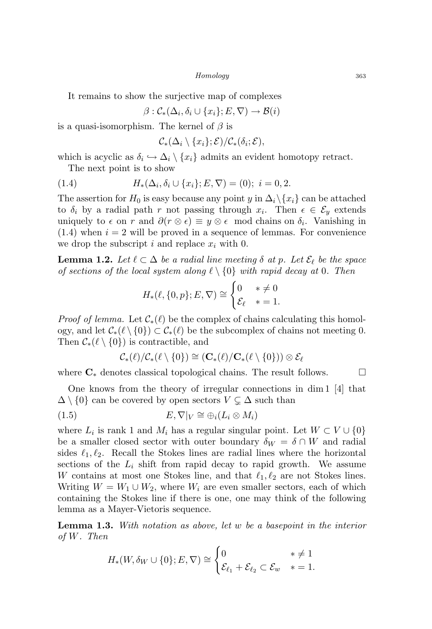It remains to show the surjective map of complexes

$$
\beta : \mathcal{C}_*(\Delta_i, \delta_i \cup \{x_i\}; E, \nabla) \to \mathcal{B}(i)
$$

is a quasi-isomorphism. The kernel of  $\beta$  is

$$
\mathcal{C}_*(\Delta_i \setminus \{x_i\}; \mathcal{E})/\mathcal{C}_*(\delta_i; \mathcal{E}),
$$

which is acyclic as  $\delta_i \hookrightarrow \Delta_i \setminus \{x_i\}$  admits an evident homotopy retract. The next point is to show

(1.4) 
$$
H_*(\Delta_i, \delta_i \cup \{x_i\}; E, \nabla) = (0); \quad i = 0, 2.
$$

The assertion for  $H_0$  is easy because any point y in  $\Delta_i\setminus\{x_i\}$  can be attached to  $\delta_i$  by a radial path r not passing through  $x_i$ . Then  $\epsilon \in \mathcal{E}_y$  extends uniquely to  $\epsilon$  on r and  $\partial(r \otimes \epsilon) \equiv y \otimes \epsilon$  mod chains on  $\delta_i$ . Vanishing in  $(1.4)$  when  $i = 2$  will be proved in a sequence of lemmas. For convenience we drop the subscript i and replace  $x_i$  with 0.

**Lemma 1.2.** Let  $\ell \subset \Delta$  be a radial line meeting  $\delta$  at p. Let  $\mathcal{E}_{\ell}$  be the space of sections of the local system along  $\ell \setminus \{0\}$  with rapid decay at 0. Then

$$
H_*(\ell, \{0, p\}; E, \nabla) \cong \begin{cases} 0 & * \neq 0 \\ \mathcal{E}_\ell & * = 1. \end{cases}
$$

*Proof of lemma.* Let  $\mathcal{C}_*(\ell)$  be the complex of chains calculating this homology, and let  $C_*(\ell \setminus \{0\}) \subset C_*(\ell)$  be the subcomplex of chains not meeting 0. Then  $\mathcal{C}_*(\ell \setminus \{0\})$  is contractible, and

$$
\mathcal{C}_*(\ell)/\mathcal{C}_*(\ell\setminus\{0\})\cong (\mathbf{C}_*(\ell)/\mathbf{C}_*(\ell\setminus\{0\}))\otimes \mathcal{E}_\ell
$$

where  $\mathbf{C}_{*}$  denotes classical topological chains. The result follows.  $\Box$ 

One knows from the theory of irregular connections in dim 1 [4] that  $\Delta \setminus \{0\}$  can be covered by open sectors  $V \subsetneq \Delta$  such than

(1.5) 
$$
E, \nabla|_V \cong \bigoplus_i (L_i \otimes M_i)
$$

where  $L_i$  is rank 1 and  $M_i$  has a regular singular point. Let  $W \subset V \cup \{0\}$ be a smaller closed sector with outer boundary  $\delta_W = \delta \cap W$  and radial sides  $\ell_1, \ell_2$ . Recall the Stokes lines are radial lines where the horizontal sections of the  $L_i$  shift from rapid decay to rapid growth. We assume W contains at most one Stokes line, and that  $\ell_1, \ell_2$  are not Stokes lines. Writing  $W = W_1 \cup W_2$ , where  $W_i$  are even smaller sectors, each of which containing the Stokes line if there is one, one may think of the following lemma as a Mayer-Vietoris sequence.

Lemma 1.3. With notation as above, let w be a basepoint in the interior of W. Then

$$
H_*(W, \delta_W \cup \{0\}; E, \nabla) \cong \begin{cases} 0 & * \neq 1 \\ \mathcal{E}_{\ell_1} + \mathcal{E}_{\ell_2} \subset \mathcal{E}_w & * = 1. \end{cases}
$$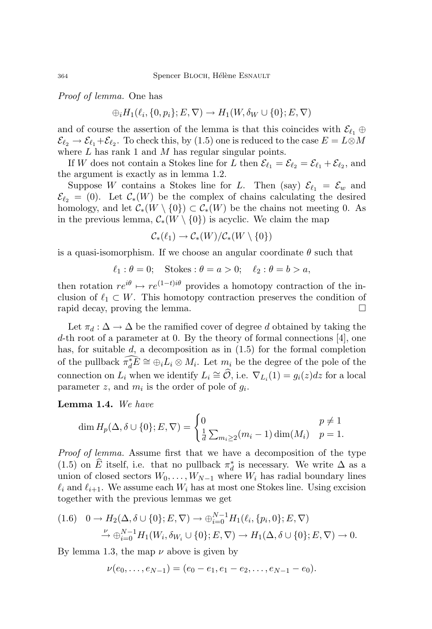Proof of lemma. One has

$$
\bigoplus_i H_1(\ell_i, \{0, p_i\}; E, \nabla) \to H_1(W, \delta_W \cup \{0\}; E, \nabla)
$$

and of course the assertion of the lemma is that this coincides with  $\mathcal{E}_{\ell_1} \oplus$  $\mathcal{E}_{\ell_2} \to \mathcal{E}_{\ell_1} + \mathcal{E}_{\ell_2}$ . To check this, by (1.5) one is reduced to the case  $E = L \otimes M$ where  $L$  has rank 1 and  $M$  has regular singular points.

If W does not contain a Stokes line for L then  $\mathcal{E}_{\ell_1} = \mathcal{E}_{\ell_2} = \mathcal{E}_{\ell_1} + \mathcal{E}_{\ell_2}$ , and the argument is exactly as in lemma 1.2.

Suppose W contains a Stokes line for L. Then (say)  $\mathcal{E}_{\ell_1} = \mathcal{E}_w$  and  $\mathcal{E}_{\ell_2} = (0)$ . Let  $\mathcal{C}_*(W)$  be the complex of chains calculating the desired homology, and let  $\mathcal{C}_*(W \setminus \{0\}) \subset \mathcal{C}_*(W)$  be the chains not meeting 0. As in the previous lemma,  $C_*(W \setminus \{0\})$  is acyclic. We claim the map

$$
\mathcal{C}_*(\ell_1) \to \mathcal{C}_*(W)/\mathcal{C}_*(W \setminus \{0\})
$$

is a quasi-isomorphism. If we choose an angular coordinate  $\theta$  such that

$$
\ell_1: \theta = 0; \quad \text{Stokes}: \theta = a > 0; \quad \ell_2: \theta = b > a,
$$

then rotation  $re^{i\theta} \mapsto re^{(1-t)i\theta}$  provides a homotopy contraction of the inclusion of  $\ell_1 \subset W$ . This homotopy contraction preserves the condition of rapid decay, proving the lemma.

Let  $\pi_d : \Delta \to \Delta$  be the ramified cover of degree d obtained by taking the d-th root of a parameter at 0. By the theory of formal connections [4], one has, for suitable  $d$ , a decomposition as in  $(1.5)$  for the formal completion of the pullback  $\widehat{\pi_d^*E} \cong \bigoplus_i L_i \otimes M_i$ . Let  $m_i$  be the degree of the pole of the connection on  $L_i$  when we identify  $L_i \cong \widehat{O}$ , i.e.  $\nabla_{L_i}(1) = g_i(z)dz$  for a local parameter z, and  $m_i$  is the order of pole of  $g_i$ .

Lemma 1.4. We have

$$
\dim H_p(\Delta, \delta \cup \{0\}; E, \nabla) = \begin{cases} 0 & p \neq 1 \\ \frac{1}{d} \sum_{m_i \geq 2} (m_i - 1) \dim(M_i) & p = 1. \end{cases}
$$

Proof of lemma. Assume first that we have a decomposition of the type (1.5) on  $\widehat{E}$  itself, i.e. that no pullback  $\pi_d^*$  is necessary. We write  $\Delta$  as a union of closed sectors  $W_0, \ldots, W_{N-1}$  where  $W_i$  has radial boundary lines  $\ell_i$  and  $\ell_{i+1}$ . We assume each  $W_i$  has at most one Stokes line. Using excision together with the previous lemmas we get

$$
(1.6) \quad 0 \to H_2(\Delta, \delta \cup \{0\}; E, \nabla) \to \bigoplus_{i=0}^{N-1} H_1(\ell_i, \{p_i, 0\}; E, \nabla)
$$

$$
\xrightarrow{\nu} \bigoplus_{i=0}^{N-1} H_1(W_i, \delta_{W_i} \cup \{0\}; E, \nabla) \to H_1(\Delta, \delta \cup \{0\}; E, \nabla) \to 0.
$$

By lemma 1.3, the map  $\nu$  above is given by

$$
\nu(e_0,\ldots,e_{N-1})=(e_0-e_1,e_1-e_2,\ldots,e_{N-1}-e_0).
$$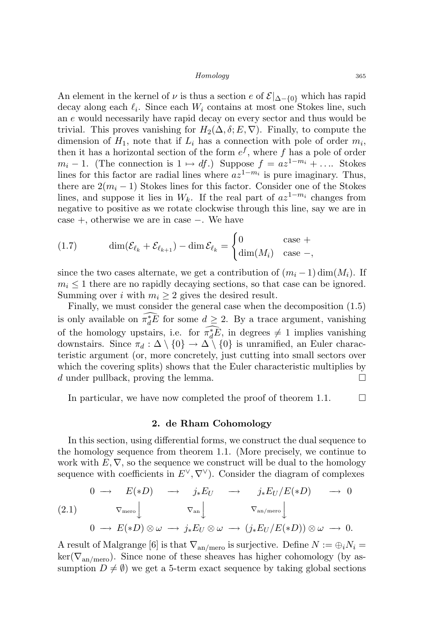An element in the kernel of  $\nu$  is thus a section e of  $\mathcal{E}|_{\Delta-\{0\}}$  which has rapid decay along each  $\ell_i$ . Since each  $W_i$  contains at most one Stokes line, such an e would necessarily have rapid decay on every sector and thus would be trivial. This proves vanishing for  $H_2(\Delta, \delta; E, \nabla)$ . Finally, to compute the dimension of  $H_1$ , note that if  $L_i$  has a connection with pole of order  $m_i$ , then it has a horizontal section of the form  $e^f$ , where f has a pole of order  $m_i - 1$ . (The connection is  $1 \mapsto df$ .) Suppose  $f = az^{1-m_i} + \ldots$  Stokes lines for this factor are radial lines where  $az^{1-m_i}$  is pure imaginary. Thus, there are  $2(m_i - 1)$  Stokes lines for this factor. Consider one of the Stokes lines, and suppose it lies in  $W_k$ . If the real part of  $az^{1-m_i}$  changes from negative to positive as we rotate clockwise through this line, say we are in case +, otherwise we are in case −. We have

(1.7) 
$$
\dim(\mathcal{E}_{\ell_k} + \mathcal{E}_{\ell_{k+1}}) - \dim \mathcal{E}_{\ell_k} = \begin{cases} 0 & \text{case } +\\ \dim(M_i) & \text{case } -, \end{cases}
$$

since the two cases alternate, we get a contribution of  $(m_i - 1)$  dim $(M_i)$ . If  $m_i \leq 1$  there are no rapidly decaying sections, so that case can be ignored. Summing over i with  $m_i \geq 2$  gives the desired result.

Finally, we must consider the general case when the decomposition (1.5) is only available on  $\widehat{\pi_d^*E}$  for some  $d \geq 2$ . By a trace argument, vanishing of the homology upstairs, i.e. for  $\pi_t^* \bar{E}$ , in degrees  $\neq 1$  implies vanishing downstairs. Since  $\pi_d : \Delta \setminus \{0\} \to \Delta \setminus \{0\}$  is unramified, an Euler characteristic argument (or, more concretely, just cutting into small sectors over which the covering splits) shows that the Euler characteristic multiplies by d under pullback, proving the lemma.  $\square$ 

In particular, we have now completed the proof of theorem 1.1.  $\Box$ 

#### 2. de Rham Cohomology

In this section, using differential forms, we construct the dual sequence to the homology sequence from theorem 1.1. (More precisely, we continue to work with  $E, \nabla$ , so the sequence we construct will be dual to the homology sequence with coefficients in  $E^{\vee}, \nabla^{\vee}$ . Consider the diagram of complexes

$$
\begin{array}{ccccccccc}\n & 0 & \longrightarrow & E(*D) & \longrightarrow & j_*E_U & \longrightarrow & j_*E_U/E(*D) & \longrightarrow & 0 \\
(2.1) & & \nabla_{\text{mero}} & & \nabla_{\text{an}} & & \nabla_{\text{an}/\text{mero}} & & \\
0 & \longrightarrow & E(*D) \otimes \omega & \longrightarrow & j_*E_U \otimes \omega & \longrightarrow & (j_*E_U/E(*D)) \otimes \omega & \longrightarrow & 0.\n\end{array}
$$

A result of Malgrange [6] is that  $\nabla_{\text{an/mero}}$  is surjective. Define  $N := \bigoplus_i N_i =$  $\ker(\nabla_{\text{an/mero}})$ . Since none of these sheaves has higher cohomology (by assumption  $D \neq \emptyset$ ) we get a 5-term exact sequence by taking global sections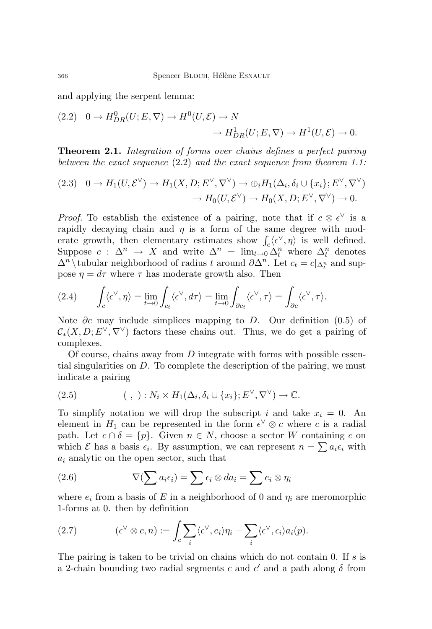and applying the serpent lemma:

$$
(2.2) \quad 0 \to H^0_{DR}(U; E, \nabla) \to H^0(U, \mathcal{E}) \to N
$$

$$
\to H^1_{DR}(U; E, \nabla) \to H^1(U, \mathcal{E}) \to 0.
$$

Theorem 2.1. Integration of forms over chains defines a perfect pairing between the exact sequence (2.2) and the exact sequence from theorem 1.1:

$$
(2.3) \quad 0 \to H_1(U, \mathcal{E}^{\vee}) \to H_1(X, D; E^{\vee}, \nabla^{\vee}) \to \bigoplus_i H_1(\Delta_i, \delta_i \cup \{x_i\}; E^{\vee}, \nabla^{\vee})
$$

$$
\to H_0(U, \mathcal{E}^{\vee}) \to H_0(X, D; E^{\vee}, \nabla^{\vee}) \to 0.
$$

*Proof.* To establish the existence of a pairing, note that if  $c \otimes \epsilon^{\vee}$  is a rapidly decaying chain and  $\eta$  is a form of the same degree with moderate growth, then elementary estimates show  $\int_c \langle e^{\vee}, \eta \rangle$  is well defined. Suppose  $c : \Delta^n \to X$  and write  $\Delta^n = \lim_{t \to 0} \Delta^n_t$  where  $\Delta^n_t$  denotes  $\Delta^n \setminus$ tubular neighborhood of radius t around  $\partial \Delta^n$ . Let  $c_t = c |_{\Delta_t^n}$  and suppose  $\eta=d\tau$  where  $\tau$  has moderate growth also. Then

(2.4) 
$$
\int_c \langle \epsilon^\vee, \eta \rangle = \lim_{t \to 0} \int_{c_t} \langle \epsilon^\vee, d\tau \rangle = \lim_{t \to 0} \int_{\partial c_t} \langle \epsilon^\vee, \tau \rangle = \int_{\partial c} \langle \epsilon^\vee, \tau \rangle.
$$

Note  $\partial c$  may include simplices mapping to D. Our definition (0.5) of  $\mathcal{C}_*(X, D; E^{\vee}, \nabla^{\vee})$  factors these chains out. Thus, we do get a pairing of complexes.

Of course, chains away from  $D$  integrate with forms with possible essential singularities on  $D$ . To complete the description of the pairing, we must indicate a pairing

(2.5) 
$$
(\ ,\ ): N_i \times H_1(\Delta_i,\delta_i \cup \{x_i\};E^{\vee},\nabla^{\vee}) \to \mathbb{C}.
$$

To simplify notation we will drop the subscript i and take  $x_i = 0$ . An element in  $H_1$  can be represented in the form  $\epsilon^{\vee} \otimes c$  where c is a radial path. Let  $c \cap \delta = \{p\}$ . Given  $n \in N$ , choose a sector W containing c on which  $\mathcal E$  has a basis  $\epsilon_i$ . By assumption, we can represent  $n = \sum a_i \epsilon_i$  with  $a_i$  analytic on the open sector, such that

(2.6) 
$$
\nabla(\sum a_i \epsilon_i) = \sum \epsilon_i \otimes da_i = \sum e_i \otimes \eta_i
$$

where  $e_i$  from a basis of E in a neighborhood of 0 and  $\eta_i$  are meromorphic 1-forms at 0. then by definition

(2.7) 
$$
(\epsilon^{\vee} \otimes c, n) := \int_{c} \sum_{i} \langle \epsilon^{\vee}, e_{i} \rangle \eta_{i} - \sum_{i} \langle \epsilon^{\vee}, \epsilon_{i} \rangle a_{i}(p).
$$

The pairing is taken to be trivial on chains which do not contain 0. If  $s$  is a 2-chain bounding two radial segments c and  $c'$  and a path along  $\delta$  from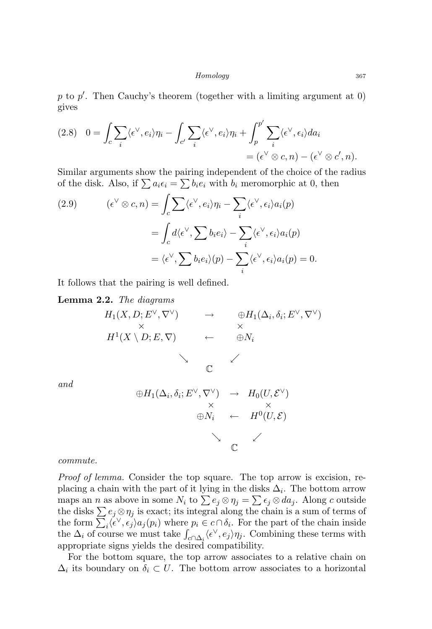p to  $p'$ . Then Cauchy's theorem (together with a limiting argument at  $0$ ) gives

$$
(2.8) \quad 0 = \int_c \sum_i \langle \epsilon^\vee, e_i \rangle \eta_i - \int_{c'} \sum_i \langle \epsilon^\vee, e_i \rangle \eta_i + \int_p^{p'} \sum_i \langle \epsilon^\vee, \epsilon_i \rangle da_i
$$
  
=  $(\epsilon^\vee \otimes c, n) - (\epsilon^\vee \otimes c', n).$ 

Similar arguments show the pairing independent of the choice of the radius of the disk. Also, if  $\sum a_i \epsilon_i = \sum b_i e_i$  with  $b_i$  meromorphic at 0, then

(2.9) 
$$
(\epsilon^{\vee} \otimes c, n) = \int_{c} \sum \langle \epsilon^{\vee}, e_{i} \rangle \eta_{i} - \sum_{i} \langle \epsilon^{\vee}, \epsilon_{i} \rangle a_{i}(p)
$$

$$
= \int_{c} d \langle \epsilon^{\vee}, \sum b_{i} e_{i} \rangle - \sum_{i} \langle \epsilon^{\vee}, \epsilon_{i} \rangle a_{i}(p)
$$

$$
= \langle \epsilon^{\vee}, \sum b_{i} e_{i} \rangle (p) - \sum_{i} \langle \epsilon^{\vee}, \epsilon_{i} \rangle a_{i}(p) = 0.
$$

It follows that the pairing is well defined.

Lemma 2.2. The diagrams

$$
H_1(X, D; E^{\vee}, \nabla^{\vee}) \rightarrow \bigoplus_{\forall} H_1(\Delta_i, \delta_i; E^{\vee}, \nabla^{\vee})
$$
  
\n
$$
H^1(X \setminus D; E, \nabla) \leftarrow \bigoplus_{\forall} N_i
$$
  
\n
$$
\downarrow
$$

and

$$
\oplus H_1(\Delta_i, \delta_i; E^{\vee}, \nabla^{\vee}) \rightarrow H_0(U, \mathcal{E}^{\vee})
$$
  
\n
$$
\times \qquad \times \qquad \times
$$
  
\n
$$
\oplus N_i \leftarrow H^0(U, \mathcal{E})
$$
  
\n
$$
\circlearrowright
$$

commute.

Proof of lemma. Consider the top square. The top arrow is excision, replacing a chain with the part of it lying in the disks  $\Delta_i$ . The bottom arrow maps an *n* as above in some  $N_i$  to  $\sum e_j \otimes \eta_j = \sum \epsilon_j \otimes da_j$ . Along c outside the disks  $\sum e_j \otimes \eta_j$  is exact; its integral along the chain is a sum of terms of the form  $\sum_i \langle \epsilon^{\vee}, \epsilon_j \rangle a_j(p_i)$  where  $p_i \in c \cap \delta_i$ . For the part of the chain inside the  $\Delta_i$  of course we must take  $\int_{c \cap \Delta_i} \langle \epsilon^\vee, e_j \rangle \eta_j$ . Combining these terms with appropriate signs yields the desired compatibility.

For the bottom square, the top arrow associates to a relative chain on  $\Delta_i$  its boundary on  $\delta_i \subset U$ . The bottom arrow associates to a horizontal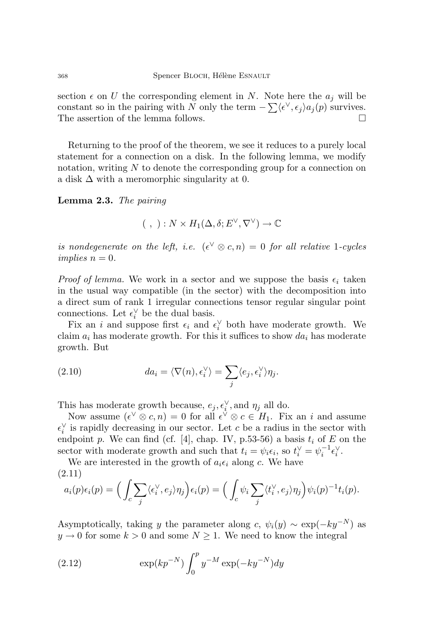section  $\epsilon$  on U the corresponding element in N. Note here the  $a_j$  will be constant so in the pairing with N only the term  $-\sum \langle \epsilon^{\vee}, \epsilon_j \rangle a_j(p)$  survives. The assertion of the lemma follows.

Returning to the proof of the theorem, we see it reduces to a purely local statement for a connection on a disk. In the following lemma, we modify notation, writing  $N$  to denote the corresponding group for a connection on a disk  $\Delta$  with a meromorphic singularity at 0.

Lemma 2.3. The pairing

$$
(\ ,\ ) : N \times H_1(\Delta, \delta; E^{\vee}, \nabla^{\vee}) \to \mathbb{C}
$$

is nondegenerate on the left, i.e.  $({\epsilon}^{\vee} \otimes c, n) = 0$  for all relative 1-cycles implies  $n = 0$ .

*Proof of lemma*. We work in a sector and we suppose the basis  $\epsilon_i$  taken in the usual way compatible (in the sector) with the decomposition into a direct sum of rank 1 irregular connections tensor regular singular point connections. Let  $\epsilon_i^{\vee}$  be the dual basis.

Fix an i and suppose first  $\epsilon_i$  and  $\epsilon_i^{\vee}$  both have moderate growth. We claim  $a_i$  has moderate growth. For this it suffices to show  $da_i$  has moderate growth. But

(2.10) 
$$
da_i = \langle \nabla(n), \epsilon_i^{\vee} \rangle = \sum_j \langle e_j, \epsilon_i^{\vee} \rangle \eta_j.
$$

This has moderate growth because,  $e_j, \epsilon_i^{\vee}$ , and  $\eta_j$  all do.

Now assume  $({\epsilon}^{\vee} \otimes c, n) = 0$  for all  ${\epsilon}^{\vee} \otimes c \in H_1$ . Fix an i and assume  $\epsilon_i^{\vee}$  is rapidly decreasing in our sector. Let c be a radius in the sector with endpoint p. We can find (cf. [4], chap. IV, p.53-56) a basis  $t_i$  of E on the sector with moderate growth and such that  $t_i = \psi_i \epsilon_i$ , so  $t_i^{\vee} = \psi_i^{-1} \epsilon_i^{\vee}$ .

We are interested in the growth of  $a_i \epsilon_i$  along c. We have (2.11)

$$
a_i(p)\epsilon_i(p) = \Big(\int_c \sum_j \langle \epsilon_i^\vee, e_j \rangle \eta_j \Big) \epsilon_i(p) = \Big(\int_c \psi_i \sum_j \langle t_i^\vee, e_j \rangle \eta_j \Big) \psi_i(p)^{-1} t_i(p).
$$

Asymptotically, taking y the parameter along c,  $\psi_i(y) \sim \exp(-ky^{-N})$  as  $y \to 0$  for some  $k > 0$  and some  $N \geq 1$ . We need to know the integral

(2.12) 
$$
\exp(kp^{-N}) \int_0^p y^{-M} \exp(-ky^{-N}) dy
$$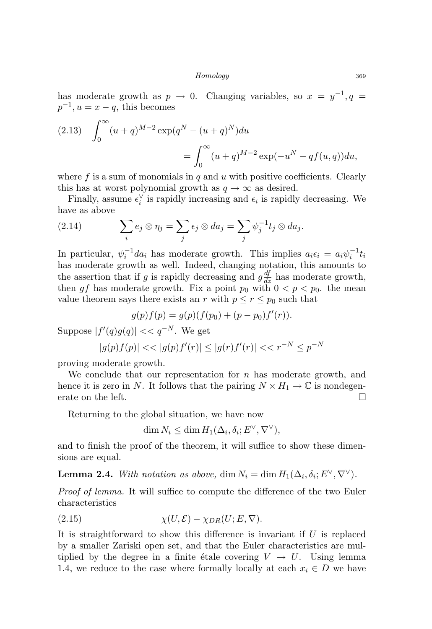has moderate growth as  $p \to 0$ . Changing variables, so  $x = y^{-1}, q =$  $p^{-1}, u = x - q$ , this becomes

(2.13) 
$$
\int_0^{\infty} (u+q)^{M-2} \exp(q^N - (u+q)^N) du
$$

$$
= \int_0^{\infty} (u+q)^{M-2} \exp(-u^N - qf(u,q)) du,
$$

where f is a sum of monomials in q and u with positive coefficients. Clearly this has at worst polynomial growth as  $q \to \infty$  as desired.

Finally, assume  $\epsilon_i^{\vee}$  is rapidly increasing and  $\epsilon_i$  is rapidly decreasing. We have as above

(2.14) 
$$
\sum_{i} e_j \otimes \eta_j = \sum_{j} \epsilon_j \otimes da_j = \sum_{j} \psi_j^{-1} t_j \otimes da_j.
$$

In particular,  $\psi_i^{-1} da_i$  has moderate growth. This implies  $a_i \epsilon_i = a_i \psi_i^{-1} t_i$ has moderate growth as well. Indeed, changing notation, this amounts to the assertion that if g is rapidly decreasing and  $g\frac{df}{dz}$  has moderate growth, then gf has moderate growth. Fix a point  $p_0$  with  $0 < p < p_0$ , the mean value theorem says there exists an r with  $p \le r \le p_0$  such that

$$
g(p)f(p) = g(p)(f(p_0) + (p - p_0)f'(r)).
$$

Suppose  $|f'(q)g(q)| \ll q^{-N}$ . We get

$$
|g(p)f(p)| \ll |g(p)f'(r)| \le |g(r)f'(r)| \ll r^{-N} \le p^{-N}
$$

proving moderate growth.

We conclude that our representation for  $n$  has moderate growth, and hence it is zero in N. It follows that the pairing  $N \times H_1 \to \mathbb{C}$  is nondegenerate on the left.  $\Box$ 

Returning to the global situation, we have now

 $\dim N_i \leq \dim H_1(\Delta_i, \delta_i; E^{\vee}, \nabla^{\vee}),$ 

and to finish the proof of the theorem, it will suffice to show these dimensions are equal.

**Lemma 2.4.** With notation as above,  $\dim N_i = \dim H_1(\Delta_i, \delta_i; E^{\vee}, \nabla^{\vee}).$ 

Proof of lemma. It will suffice to compute the difference of the two Euler characteristics

$$
(2.15) \t\t \chi(U, \mathcal{E}) - \chi_{DR}(U; E, \nabla).
$$

It is straightforward to show this difference is invariant if  $U$  is replaced by a smaller Zariski open set, and that the Euler characteristics are multiplied by the degree in a finite étale covering  $V \to U$ . Using lemma 1.4, we reduce to the case where formally locally at each  $x_i \in D$  we have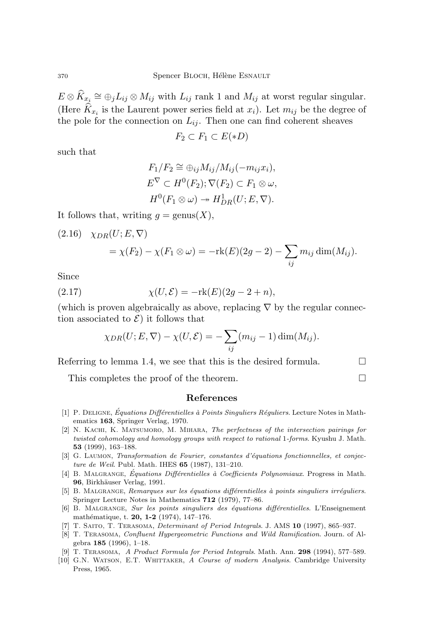$E \otimes \widehat{K}_{x_{\underline{i}}} \cong \oplus_j L_{ij} \otimes M_{ij}$  with  $L_{ij}$  rank 1 and  $M_{ij}$  at worst regular singular. (Here  $K_{x_i}$  is the Laurent power series field at  $x_i$ ). Let  $m_{ij}$  be the degree of the pole for the connection on  $L_{ij}$ . Then one can find coherent sheaves

$$
F_2 \subset F_1 \subset E(*D)
$$

such that

$$
F_1/F_2 \cong \bigoplus_{ij} M_{ij}/M_{ij}(-m_{ij}x_i),
$$
  
\n
$$
E^{\nabla} \subset H^0(F_2); \nabla(F_2) \subset F_1 \otimes \omega,
$$
  
\n
$$
H^0(F_1 \otimes \omega) \to H^1_{DR}(U;E,\nabla).
$$

It follows that, writing  $g = \text{genus}(X)$ ,

(2.16) 
$$
\chi_{DR}(U; E, \nabla)
$$
  
=  $\chi(F_2) - \chi(F_1 \otimes \omega) = -\text{rk}(E)(2g - 2) - \sum_{ij} m_{ij} \dim(M_{ij}).$ 

Since

(2.17) 
$$
\chi(U,\mathcal{E}) = -\mathrm{rk}(E)(2g - 2 + n),
$$

(which is proven algebraically as above, replacing  $\nabla$  by the regular connection associated to  $\mathcal{E}$ ) it follows that

$$
\chi_{DR}(U;E,\nabla)-\chi(U,\mathcal{E})=-\sum_{ij}(m_{ij}-1)\dim(M_{ij}).
$$

Referring to lemma 1.4, we see that this is the desired formula.  $\Box$ 

This completes the proof of the theorem.

#### References

- [1] P. DELIGNE, Équations Différentielles à Points Singuliers Réguliers. Lecture Notes in Mathematics 163, Springer Verlag, 1970.
- [2] N. KACHI, K. MATSUMORO, M. MIHARA, The perfectness of the intersection pairings for twisted cohomology and homology groups with respect to rational 1-forms. Kyushu J. Math. 53 (1999), 163–188.
- [3] G. Laumon, Transformation de Fourier, constantes d'´equations fonctionnelles, et conjecture de Weil. Publ. Math. IHES 65 (1987), 131–210.
- [4] B. MALGRANGE, Équations Différentielles à Coefficients Polynomiaux. Progress in Math. 96, Birkhäuser Verlag, 1991.
- [5] B. MALGRANGE, Remarques sur les équations différentielles à points singuliers irréguliers. Springer Lecture Notes in Mathematics 712 (1979), 77–86.
- [6] B. MALGRANGE, Sur les points singuliers des équations différentielles. L'Enseignement mathématique, t. 20, 1-2 (1974), 147-176.
- [7] T. SAITO, T. TERASOMA, *Determinant of Period Integrals*. J. AMS 10 (1997), 865-937.
- [8] T. Terasoma, Confluent Hypergeometric Functions and Wild Ramification. Journ. of Algebra 185 (1996), 1–18.
- [9] T. Terasoma, A Product Formula for Period Integrals. Math. Ann. 298 (1994), 577–589.
- [10] G.N. WATSON, E.T. WHITTAKER, A Course of modern Analysis. Cambridge University Press, 1965.